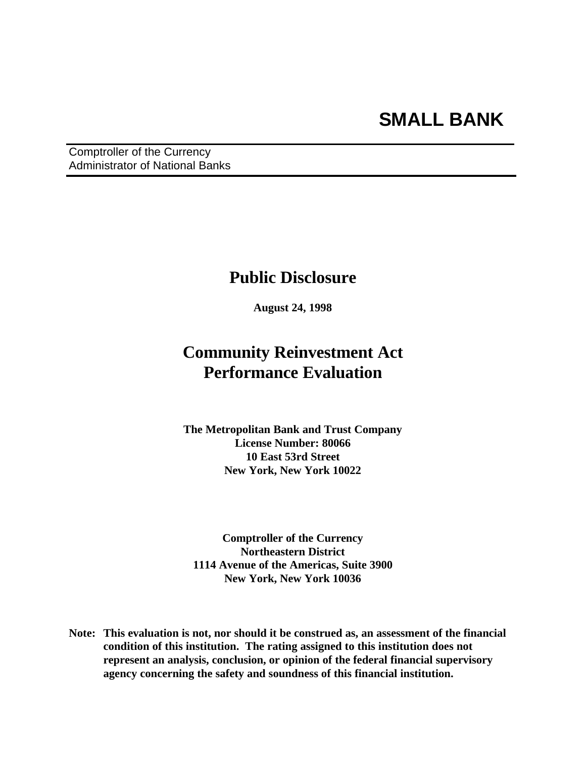Comptroller of the Currency Administrator of National Banks

## **Public Disclosure**

**August 24, 1998**

# **Community Reinvestment Act Performance Evaluation**

**The Metropolitan Bank and Trust Company License Number: 80066 10 East 53rd Street New York, New York 10022**

**Comptroller of the Currency Northeastern District 1114 Avenue of the Americas, Suite 3900 New York, New York 10036**

**Note: This evaluation is not, nor should it be construed as, an assessment of the financial condition of this institution. The rating assigned to this institution does not represent an analysis, conclusion, or opinion of the federal financial supervisory agency concerning the safety and soundness of this financial institution.**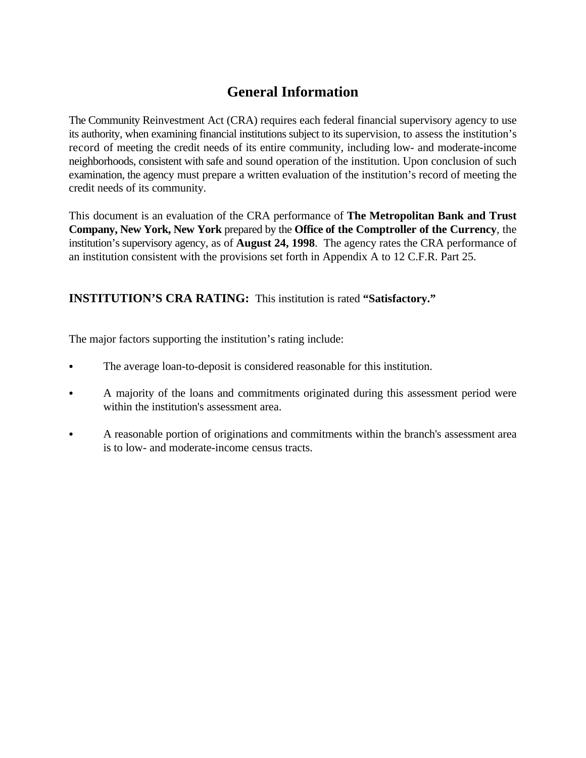## **General Information**

The Community Reinvestment Act (CRA) requires each federal financial supervisory agency to use its authority, when examining financial institutions subject to its supervision, to assess the institution's record of meeting the credit needs of its entire community, including low- and moderate-income neighborhoods, consistent with safe and sound operation of the institution. Upon conclusion of such examination, the agency must prepare a written evaluation of the institution's record of meeting the credit needs of its community.

This document is an evaluation of the CRA performance of **The Metropolitan Bank and Trust Company, New York, New York** prepared by the **Office of the Comptroller of the Currency**, the institution's supervisory agency, as of **August 24, 1998**. The agency rates the CRA performance of an institution consistent with the provisions set forth in Appendix A to 12 C.F.R. Part 25.

**INSTITUTION'S CRA RATING:** This institution is rated **"Satisfactory."**

The major factors supporting the institution's rating include:

- The average loan-to-deposit is considered reasonable for this institution.
- A majority of the loans and commitments originated during this assessment period were within the institution's assessment area.
- C A reasonable portion of originations and commitments within the branch's assessment area is to low- and moderate-income census tracts.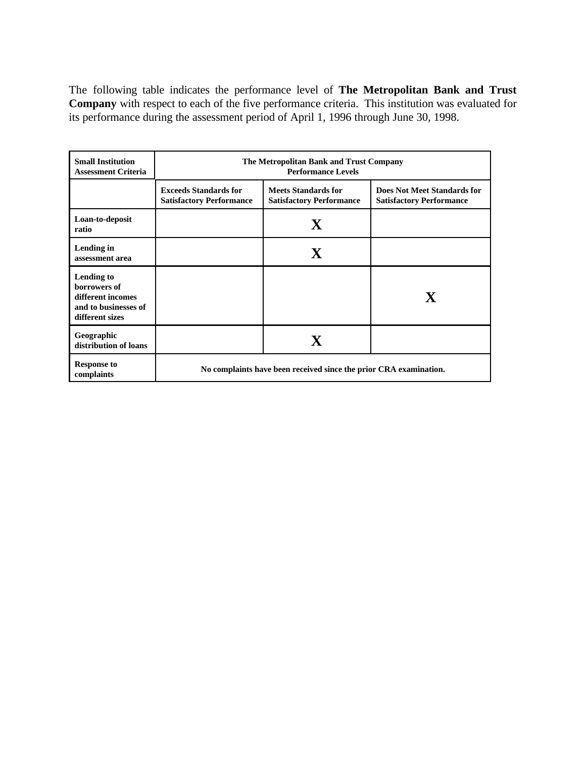The following table indicates the performance level of **The Metropolitan Bank and Trust Company** with respect to each of the five performance criteria. This institution was evaluated for its performance during the assessment period of April 1, 1996 through June 30, 1998.

| <b>Small Institution</b><br><b>Assessment Criteria</b>                                     | The Metropolitan Bank and Trust Company<br><b>Performance Levels</b> |                                                               |                                                                       |  |  |  |
|--------------------------------------------------------------------------------------------|----------------------------------------------------------------------|---------------------------------------------------------------|-----------------------------------------------------------------------|--|--|--|
|                                                                                            | <b>Exceeds Standards for</b><br><b>Satisfactory Performance</b>      | <b>Meets Standards for</b><br><b>Satisfactory Performance</b> | <b>Does Not Meet Standards for</b><br><b>Satisfactory Performance</b> |  |  |  |
| Loan-to-deposit<br>ratio                                                                   |                                                                      | $\mathbf X$                                                   |                                                                       |  |  |  |
| Lending in<br>assessment area                                                              |                                                                      | $\mathbf X$                                                   |                                                                       |  |  |  |
| Lending to<br>borrowers of<br>different incomes<br>and to businesses of<br>different sizes |                                                                      |                                                               | $\mathbf{X}$                                                          |  |  |  |
| Geographic<br>distribution of loans                                                        |                                                                      | $\mathbf X$                                                   |                                                                       |  |  |  |
| <b>Response to</b><br>complaints                                                           | No complaints have been received since the prior CRA examination.    |                                                               |                                                                       |  |  |  |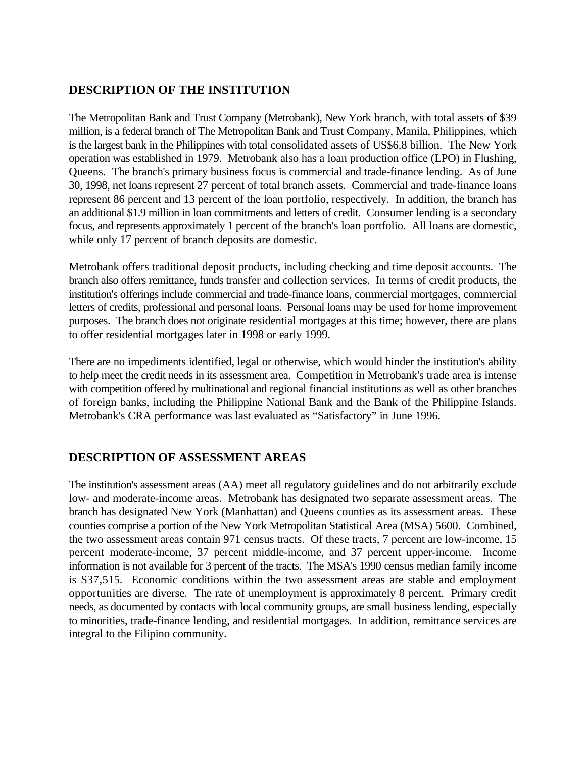### **DESCRIPTION OF THE INSTITUTION**

The Metropolitan Bank and Trust Company (Metrobank), New York branch, with total assets of \$39 million, is a federal branch of The Metropolitan Bank and Trust Company, Manila, Philippines, which is the largest bank in the Philippines with total consolidated assets of US\$6.8 billion. The New York operation was established in 1979. Metrobank also has a loan production office (LPO) in Flushing, Queens. The branch's primary business focus is commercial and trade-finance lending. As of June 30, 1998, net loans represent 27 percent of total branch assets. Commercial and trade-finance loans represent 86 percent and 13 percent of the loan portfolio, respectively. In addition, the branch has an additional \$1.9 million in loan commitments and letters of credit. Consumer lending is a secondary focus, and represents approximately 1 percent of the branch's loan portfolio. All loans are domestic, while only 17 percent of branch deposits are domestic.

Metrobank offers traditional deposit products, including checking and time deposit accounts. The branch also offers remittance, funds transfer and collection services. In terms of credit products, the institution's offerings include commercial and trade-finance loans, commercial mortgages, commercial letters of credits, professional and personal loans. Personal loans may be used for home improvement purposes. The branch does not originate residential mortgages at this time; however, there are plans to offer residential mortgages later in 1998 or early 1999.

There are no impediments identified, legal or otherwise, which would hinder the institution's ability to help meet the credit needs in its assessment area. Competition in Metrobank's trade area is intense with competition offered by multinational and regional financial institutions as well as other branches of foreign banks, including the Philippine National Bank and the Bank of the Philippine Islands. Metrobank's CRA performance was last evaluated as "Satisfactory" in June 1996.

### **DESCRIPTION OF ASSESSMENT AREAS**

The institution's assessment areas (AA) meet all regulatory guidelines and do not arbitrarily exclude low- and moderate-income areas. Metrobank has designated two separate assessment areas. The branch has designated New York (Manhattan) and Queens counties as its assessment areas. These counties comprise a portion of the New York Metropolitan Statistical Area (MSA) 5600. Combined, the two assessment areas contain 971 census tracts. Of these tracts, 7 percent are low-income, 15 percent moderate-income, 37 percent middle-income, and 37 percent upper-income. Income information is not available for 3 percent of the tracts. The MSA's 1990 census median family income is \$37,515. Economic conditions within the two assessment areas are stable and employment opportunities are diverse. The rate of unemployment is approximately 8 percent. Primary credit needs, as documented by contacts with local community groups, are small business lending, especially to minorities, trade-finance lending, and residential mortgages. In addition, remittance services are integral to the Filipino community.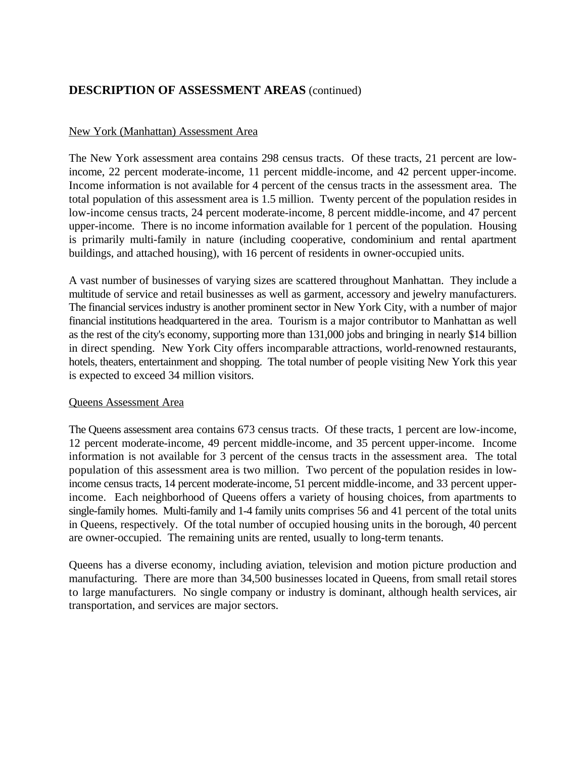## **DESCRIPTION OF ASSESSMENT AREAS** (continued)

#### New York (Manhattan) Assessment Area

The New York assessment area contains 298 census tracts. Of these tracts, 21 percent are lowincome, 22 percent moderate-income, 11 percent middle-income, and 42 percent upper-income. Income information is not available for 4 percent of the census tracts in the assessment area. The total population of this assessment area is 1.5 million. Twenty percent of the population resides in low-income census tracts, 24 percent moderate-income, 8 percent middle-income, and 47 percent upper-income. There is no income information available for 1 percent of the population. Housing is primarily multi-family in nature (including cooperative, condominium and rental apartment buildings, and attached housing), with 16 percent of residents in owner-occupied units.

A vast number of businesses of varying sizes are scattered throughout Manhattan. They include a multitude of service and retail businesses as well as garment, accessory and jewelry manufacturers. The financial services industry is another prominent sector in New York City, with a number of major financial institutions headquartered in the area. Tourism is a major contributor to Manhattan as well as the rest of the city's economy, supporting more than 131,000 jobs and bringing in nearly \$14 billion in direct spending. New York City offers incomparable attractions, world-renowned restaurants, hotels, theaters, entertainment and shopping. The total number of people visiting New York this year is expected to exceed 34 million visitors.

#### Queens Assessment Area

The Queens assessment area contains 673 census tracts. Of these tracts, 1 percent are low-income, 12 percent moderate-income, 49 percent middle-income, and 35 percent upper-income. Income information is not available for 3 percent of the census tracts in the assessment area. The total population of this assessment area is two million. Two percent of the population resides in lowincome census tracts, 14 percent moderate-income, 51 percent middle-income, and 33 percent upperincome. Each neighborhood of Queens offers a variety of housing choices, from apartments to single-family homes. Multi-family and 1-4 family units comprises 56 and 41 percent of the total units in Queens, respectively. Of the total number of occupied housing units in the borough, 40 percent are owner-occupied. The remaining units are rented, usually to long-term tenants.

Queens has a diverse economy, including aviation, television and motion picture production and manufacturing. There are more than 34,500 businesses located in Queens, from small retail stores to large manufacturers. No single company or industry is dominant, although health services, air transportation, and services are major sectors.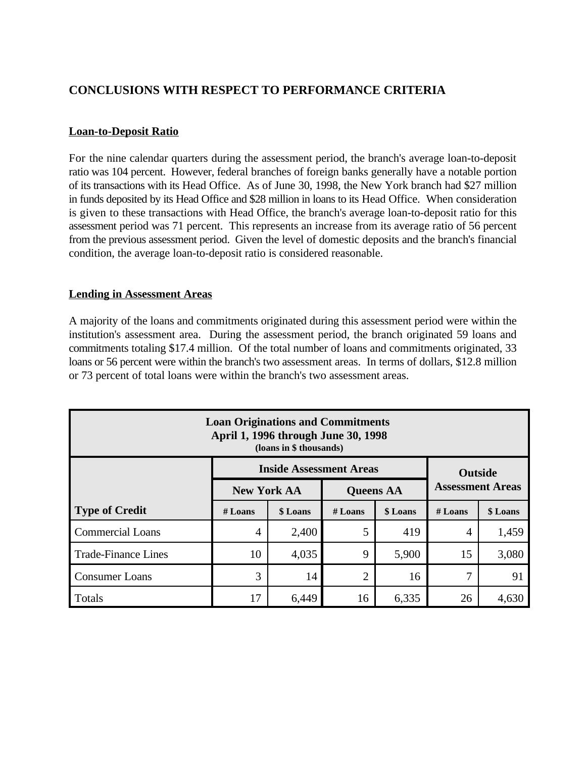## **CONCLUSIONS WITH RESPECT TO PERFORMANCE CRITERIA**

#### **Loan-to-Deposit Ratio**

For the nine calendar quarters during the assessment period, the branch's average loan-to-deposit ratio was 104 percent. However, federal branches of foreign banks generally have a notable portion of its transactions with its Head Office. As of June 30, 1998, the New York branch had \$27 million in funds deposited by its Head Office and \$28 million in loans to its Head Office. When consideration is given to these transactions with Head Office, the branch's average loan-to-deposit ratio for this assessment period was 71 percent. This represents an increase from its average ratio of 56 percent from the previous assessment period. Given the level of domestic deposits and the branch's financial condition, the average loan-to-deposit ratio is considered reasonable.

#### **Lending in Assessment Areas**

A majority of the loans and commitments originated during this assessment period were within the institution's assessment area. During the assessment period, the branch originated 59 loans and commitments totaling \$17.4 million. Of the total number of loans and commitments originated, 33 loans or 56 percent were within the branch's two assessment areas. In terms of dollars, \$12.8 million or 73 percent of total loans were within the branch's two assessment areas.

| <b>Loan Originations and Commitments</b><br>April 1, 1996 through June 30, 1998<br>(loans in \$ thousands) |                                                |                         |                |       |                |          |  |  |
|------------------------------------------------------------------------------------------------------------|------------------------------------------------|-------------------------|----------------|-------|----------------|----------|--|--|
| <b>Inside Assessment Areas</b><br><b>Outside</b>                                                           |                                                |                         |                |       |                |          |  |  |
|                                                                                                            | <b>New York AA</b>                             | <b>Assessment Areas</b> |                |       |                |          |  |  |
| <b>Type of Credit</b>                                                                                      | \$ Loans<br>\$ Loans<br>$#$ Loans<br>$#$ Loans |                         |                |       | $#$ Loans      | \$ Loans |  |  |
| <b>Commercial Loans</b>                                                                                    | $\overline{4}$                                 | 2,400                   | 5              | 419   | $\overline{4}$ | 1,459    |  |  |
| <b>Trade-Finance Lines</b>                                                                                 | 10                                             | 4,035                   | 9              | 5,900 | 15             | 3,080    |  |  |
| <b>Consumer Loans</b>                                                                                      | 3                                              | 14                      | $\overline{2}$ | 16    | 7              | 91       |  |  |
| Totals                                                                                                     | 6,449<br>17<br>6,335<br>26<br>16               |                         |                |       |                |          |  |  |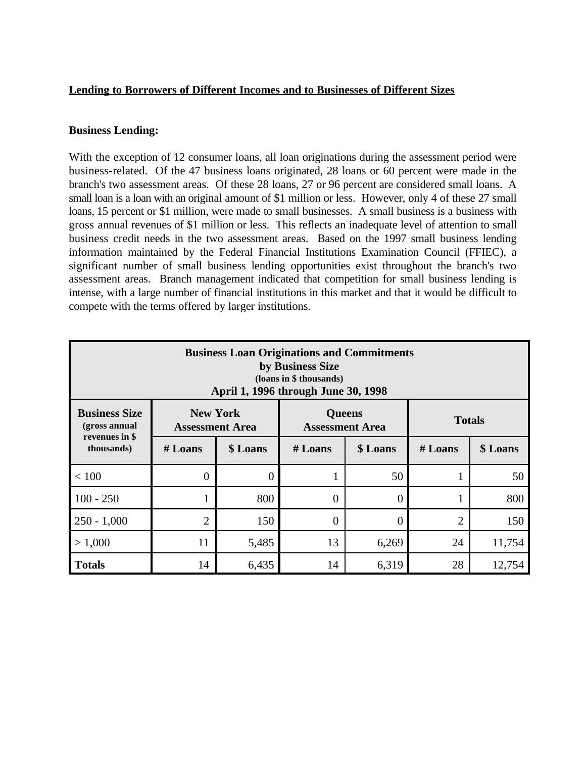#### **Lending to Borrowers of Different Incomes and to Businesses of Different Sizes**

#### **Business Lending:**

With the exception of 12 consumer loans, all loan originations during the assessment period were business-related. Of the 47 business loans originated, 28 loans or 60 percent were made in the branch's two assessment areas. Of these 28 loans, 27 or 96 percent are considered small loans. A small loan is a loan with an original amount of \$1 million or less. However, only 4 of these 27 small loans, 15 percent or \$1 million, were made to small businesses. A small business is a business with gross annual revenues of \$1 million or less. This reflects an inadequate level of attention to small business credit needs in the two assessment areas. Based on the 1997 small business lending information maintained by the Federal Financial Institutions Examination Council (FFIEC), a significant number of small business lending opportunities exist throughout the branch's two assessment areas. Branch management indicated that competition for small business lending is intense, with a large number of financial institutions in this market and that it would be difficult to compete with the terms offered by larger institutions.

| <b>Business Loan Originations and Commitments</b><br>by Business Size<br>(loans in \$ thousands)<br>April 1, 1996 through June 30, 1998        |                  |          |           |          |                |          |  |  |
|------------------------------------------------------------------------------------------------------------------------------------------------|------------------|----------|-----------|----------|----------------|----------|--|--|
| <b>New York</b><br><b>Business Size</b><br><b>Queens</b><br><b>Totals</b><br>(gross annual<br><b>Assessment Area</b><br><b>Assessment Area</b> |                  |          |           |          |                |          |  |  |
| revenues in \$<br>thousands)                                                                                                                   | $#$ Loans        | \$ Loans | $#$ Loans | \$ Loans | $#$ Loans      | \$ Loans |  |  |
| < 100                                                                                                                                          | $\boldsymbol{0}$ | $\Omega$ |           | 50       |                | 50       |  |  |
| $100 - 250$                                                                                                                                    | $\mathbf{1}$     | 800      | $\Omega$  | $\theta$ |                | 800      |  |  |
| $250 - 1,000$                                                                                                                                  | $\overline{2}$   | 150      | $\Omega$  | $\theta$ | $\overline{2}$ | 150      |  |  |
| > 1,000                                                                                                                                        | 11               | 5,485    | 13        | 6,269    | 24             | 11,754   |  |  |
| <b>Totals</b>                                                                                                                                  | 14               | 6,435    | 14        | 6,319    | 28             | 12,754   |  |  |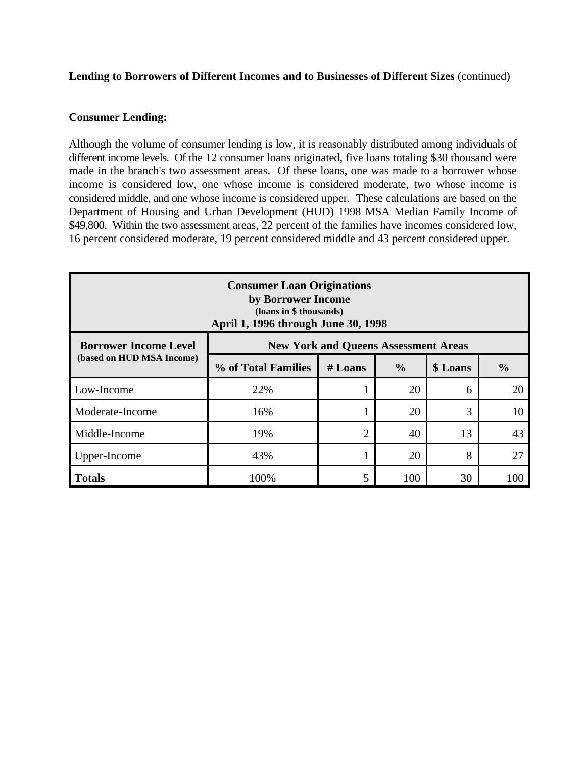#### **Lending to Borrowers of Different Incomes and to Businesses of Different Sizes** (continued)

#### **Consumer Lending:**

Although the volume of consumer lending is low, it is reasonably distributed among individuals of different income levels. Of the 12 consumer loans originated, five loans totaling \$30 thousand were made in the branch's two assessment areas. Of these loans, one was made to a borrower whose income is considered low, one whose income is considered moderate, two whose income is considered middle, and one whose income is considered upper. These calculations are based on the Department of Housing and Urban Development (HUD) 1998 MSA Median Family Income of \$49,800. Within the two assessment areas, 22 percent of the families have incomes considered low, 16 percent considered moderate, 19 percent considered middle and 43 percent considered upper.

| <b>Consumer Loan Originations</b><br>by Borrower Income<br>(loans in \$ thousands)<br>April 1, 1996 through June 30, 1998 |                                             |                            |    |          |               |  |  |  |
|---------------------------------------------------------------------------------------------------------------------------|---------------------------------------------|----------------------------|----|----------|---------------|--|--|--|
| <b>Borrower Income Level</b>                                                                                              | <b>New York and Queens Assessment Areas</b> |                            |    |          |               |  |  |  |
| (based on HUD MSA Income)                                                                                                 | % of Total Families                         | $\frac{6}{6}$<br>$#$ Loans |    | \$ Loans | $\frac{0}{0}$ |  |  |  |
| Low-Income                                                                                                                | 22%                                         | ı                          | 20 | 6        | 20            |  |  |  |
| Moderate-Income                                                                                                           | 16%                                         | T                          | 20 | 3        | 10            |  |  |  |
| Middle-Income                                                                                                             | 19%                                         | $\overline{2}$             | 40 | 13       | 43            |  |  |  |
| Upper-Income                                                                                                              | 43%                                         | ı                          | 20 | 8        | 27            |  |  |  |
| 5<br>100%<br>100<br>30<br><b>Totals</b><br>100                                                                            |                                             |                            |    |          |               |  |  |  |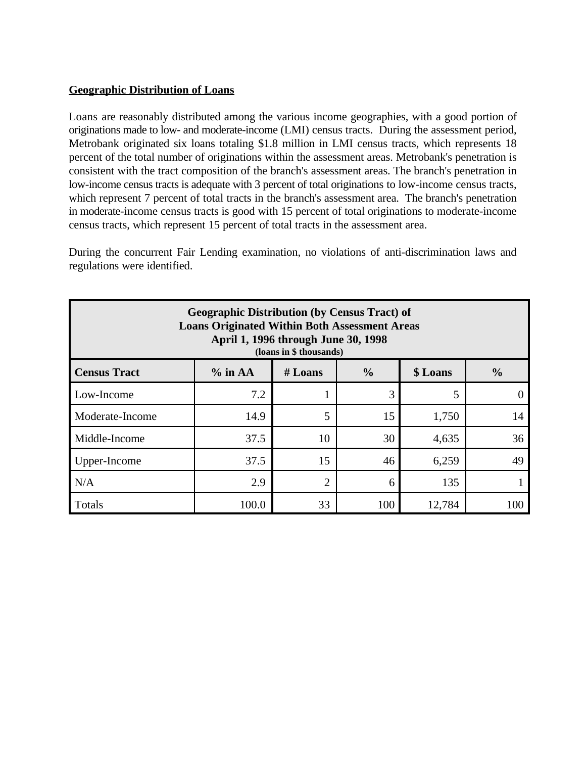#### **Geographic Distribution of Loans**

Loans are reasonably distributed among the various income geographies, with a good portion of originations made to low- and moderate-income (LMI) census tracts. During the assessment period, Metrobank originated six loans totaling \$1.8 million in LMI census tracts, which represents 18 percent of the total number of originations within the assessment areas. Metrobank's penetration is consistent with the tract composition of the branch's assessment areas. The branch's penetration in low-income census tracts is adequate with 3 percent of total originations to low-income census tracts, which represent 7 percent of total tracts in the branch's assessment area. The branch's penetration in moderate-income census tracts is good with 15 percent of total originations to moderate-income census tracts, which represent 15 percent of total tracts in the assessment area.

During the concurrent Fair Lending examination, no violations of anti-discrimination laws and regulations were identified.

| <b>Geographic Distribution (by Census Tract) of</b><br><b>Loans Originated Within Both Assessment Areas</b><br>April 1, 1996 through June 30, 1998<br>(loans in \$ thousands) |       |                |     |        |     |  |  |  |  |
|-------------------------------------------------------------------------------------------------------------------------------------------------------------------------------|-------|----------------|-----|--------|-----|--|--|--|--|
| $\frac{0}{0}$<br>$\frac{0}{0}$<br><b>Census Tract</b><br>$%$ in AA<br>$#$ Loans<br>\$ Loans                                                                                   |       |                |     |        |     |  |  |  |  |
| Low-Income                                                                                                                                                                    | 7.2   | 1              | 3   | 5      |     |  |  |  |  |
| Moderate-Income                                                                                                                                                               | 14.9  | 5              | 15  | 1,750  | 14  |  |  |  |  |
| Middle-Income                                                                                                                                                                 | 37.5  | 10             | 30  | 4,635  | 36  |  |  |  |  |
| Upper-Income                                                                                                                                                                  | 37.5  | 15             | 46  | 6,259  | 49  |  |  |  |  |
| N/A                                                                                                                                                                           | 2.9   | $\overline{2}$ | 6   | 135    |     |  |  |  |  |
| Totals                                                                                                                                                                        | 100.0 | 33             | 100 | 12,784 | 100 |  |  |  |  |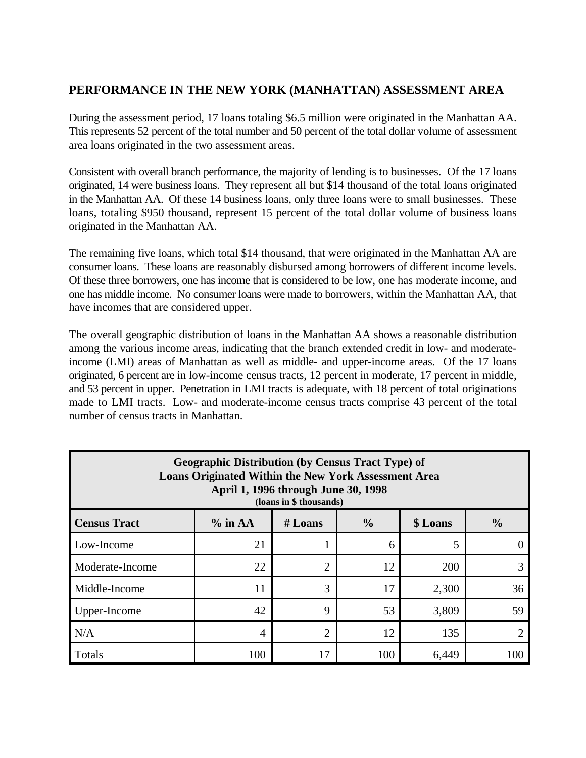## **PERFORMANCE IN THE NEW YORK (MANHATTAN) ASSESSMENT AREA**

During the assessment period, 17 loans totaling \$6.5 million were originated in the Manhattan AA. This represents 52 percent of the total number and 50 percent of the total dollar volume of assessment area loans originated in the two assessment areas.

Consistent with overall branch performance, the majority of lending is to businesses. Of the 17 loans originated, 14 were business loans. They represent all but \$14 thousand of the total loans originated in the Manhattan AA. Of these 14 business loans, only three loans were to small businesses. These loans, totaling \$950 thousand, represent 15 percent of the total dollar volume of business loans originated in the Manhattan AA.

The remaining five loans, which total \$14 thousand, that were originated in the Manhattan AA are consumer loans. These loans are reasonably disbursed among borrowers of different income levels. Of these three borrowers, one has income that is considered to be low, one has moderate income, and one has middle income. No consumer loans were made to borrowers, within the Manhattan AA, that have incomes that are considered upper.

The overall geographic distribution of loans in the Manhattan AA shows a reasonable distribution among the various income areas, indicating that the branch extended credit in low- and moderateincome (LMI) areas of Manhattan as well as middle- and upper-income areas. Of the 17 loans originated, 6 percent are in low-income census tracts, 12 percent in moderate, 17 percent in middle, and 53 percent in upper. Penetration in LMI tracts is adequate, with 18 percent of total originations made to LMI tracts. Low- and moderate-income census tracts comprise 43 percent of the total number of census tracts in Manhattan.

| <b>Geographic Distribution (by Census Tract Type) of</b><br><b>Loans Originated Within the New York Assessment Area</b><br>April 1, 1996 through June 30, 1998<br>(loans in \$ thousands) |                                  |                |    |       |    |  |  |  |  |  |
|-------------------------------------------------------------------------------------------------------------------------------------------------------------------------------------------|----------------------------------|----------------|----|-------|----|--|--|--|--|--|
| $\frac{0}{0}$<br>$\frac{6}{6}$<br><b>Census Tract</b><br>$%$ in AA<br>$#$ Loans<br>\$ Loans                                                                                               |                                  |                |    |       |    |  |  |  |  |  |
| Low-Income                                                                                                                                                                                | 21                               |                | 6  | 5     |    |  |  |  |  |  |
| Moderate-Income                                                                                                                                                                           | 22                               | $\overline{2}$ | 12 | 200   |    |  |  |  |  |  |
| Middle-Income                                                                                                                                                                             | 11                               | 3              | 17 | 2,300 | 36 |  |  |  |  |  |
| Upper-Income                                                                                                                                                                              | 42                               | 9              | 53 | 3,809 | 59 |  |  |  |  |  |
| N/A                                                                                                                                                                                       | 4                                | $\overline{2}$ | 12 | 135   |    |  |  |  |  |  |
| Totals                                                                                                                                                                                    | 100<br>100<br>17<br>6,449<br>100 |                |    |       |    |  |  |  |  |  |